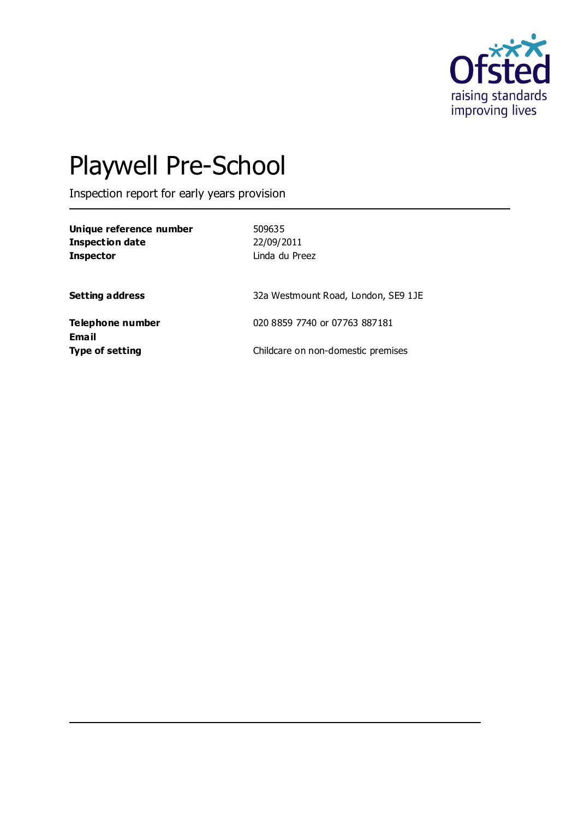

# Playwell Pre-School

Inspection report for early years provision

| Unique reference number<br>Inspection date<br><b>Inspector</b> | 509635<br>22/09/2011<br>Linda du Preez |
|----------------------------------------------------------------|----------------------------------------|
| <b>Setting address</b>                                         | 32a Westmount Road, London, SE9 1JE    |
| Telephone number                                               | 020 8859 7740 or 07763 887181          |
| Email<br>Type of setting                                       | Childcare on non-domestic premises     |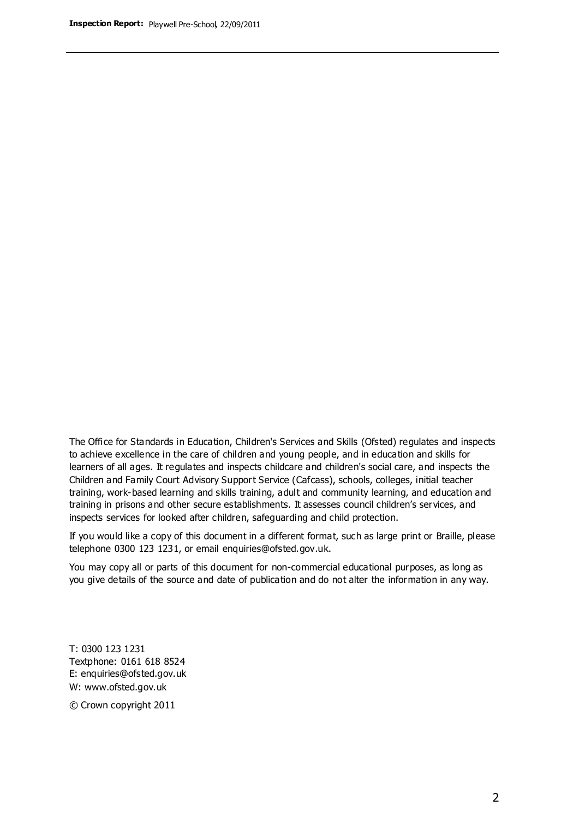The Office for Standards in Education, Children's Services and Skills (Ofsted) regulates and inspects to achieve excellence in the care of children and young people, and in education and skills for learners of all ages. It regulates and inspects childcare and children's social care, and inspects the Children and Family Court Advisory Support Service (Cafcass), schools, colleges, initial teacher training, work-based learning and skills training, adult and community learning, and education and training in prisons and other secure establishments. It assesses council children's services, and inspects services for looked after children, safeguarding and child protection.

If you would like a copy of this document in a different format, such as large print or Braille, please telephone 0300 123 1231, or email enquiries@ofsted.gov.uk.

You may copy all or parts of this document for non-commercial educational purposes, as long as you give details of the source and date of publication and do not alter the information in any way.

T: 0300 123 1231 Textphone: 0161 618 8524 E: enquiries@ofsted.gov.uk W: [www.ofsted.gov.uk](http://www.ofsted.gov.uk/)

© Crown copyright 2011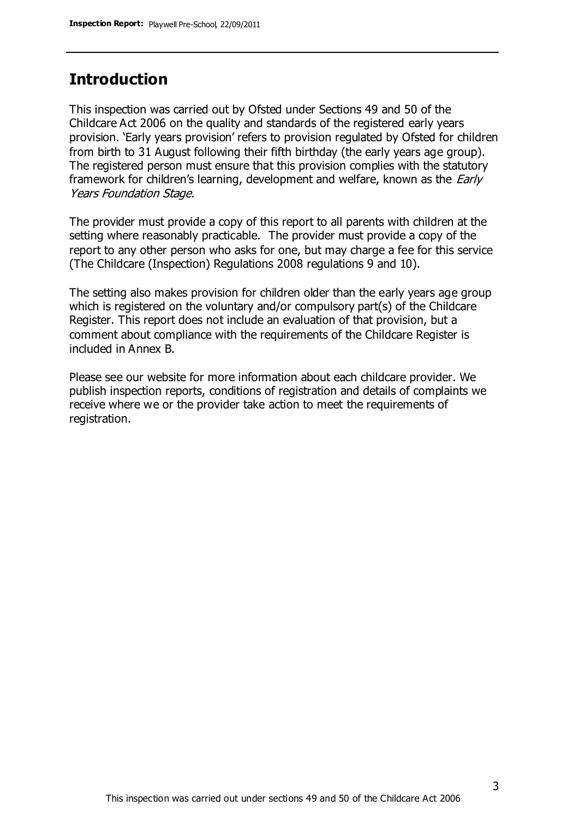## **Introduction**

This inspection was carried out by Ofsted under Sections 49 and 50 of the Childcare Act 2006 on the quality and standards of the registered early years provision. 'Early years provision' refers to provision regulated by Ofsted for children from birth to 31 August following their fifth birthday (the early years age group). The registered person must ensure that this provision complies with the statutory framework for children's learning, development and welfare, known as the *Early* Years Foundation Stage.

The provider must provide a copy of this report to all parents with children at the setting where reasonably practicable. The provider must provide a copy of the report to any other person who asks for one, but may charge a fee for this service (The Childcare (Inspection) Regulations 2008 regulations 9 and 10).

The setting also makes provision for children older than the early years age group which is registered on the voluntary and/or compulsory part(s) of the Childcare Register. This report does not include an evaluation of that provision, but a comment about compliance with the requirements of the Childcare Register is included in Annex B.

Please see our website for more information about each childcare provider. We publish inspection reports, conditions of registration and details of complaints we receive where we or the provider take action to meet the requirements of registration.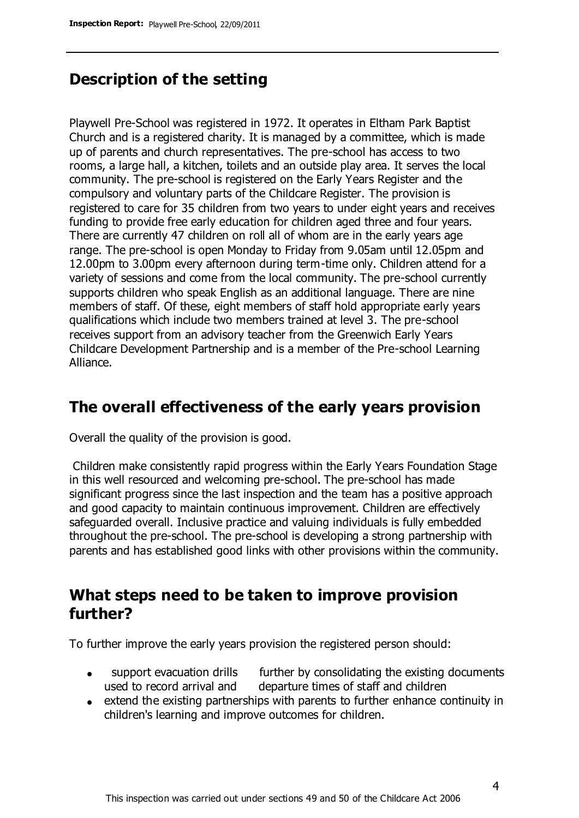# **Description of the setting**

Playwell Pre-School was registered in 1972. It operates in Eltham Park Baptist Church and is a registered charity. It is managed by a committee, which is made up of parents and church representatives. The pre-school has access to two rooms, a large hall, a kitchen, toilets and an outside play area. It serves the local community. The pre-school is registered on the Early Years Register and the compulsory and voluntary parts of the Childcare Register. The provision is registered to care for 35 children from two years to under eight years and receives funding to provide free early education for children aged three and four years. There are currently 47 children on roll all of whom are in the early years age range. The pre-school is open Monday to Friday from 9.05am until 12.05pm and 12.00pm to 3.00pm every afternoon during term-time only. Children attend for a variety of sessions and come from the local community. The pre-school currently supports children who speak English as an additional language. There are nine members of staff. Of these, eight members of staff hold appropriate early years qualifications which include two members trained at level 3. The pre-school receives support from an advisory teacher from the Greenwich Early Years Childcare Development Partnership and is a member of the Pre-school Learning Alliance.

## **The overall effectiveness of the early years provision**

Overall the quality of the provision is good.

Children make consistently rapid progress within the Early Years Foundation Stage in this well resourced and welcoming pre-school. The pre-school has made significant progress since the last inspection and the team has a positive approach and good capacity to maintain continuous improvement. Children are effectively safeguarded overall. Inclusive practice and valuing individuals is fully embedded throughout the pre-school. The pre-school is developing a strong partnership with parents and has established good links with other provisions within the community.

### **What steps need to be taken to improve provision further?**

To further improve the early years provision the registered person should:

- support evacuation drills further by consolidating the existing documents used to record arrival and departure times of staff and children
- extend the existing partnerships with parents to further enhance continuity in children's learning and improve outcomes for children.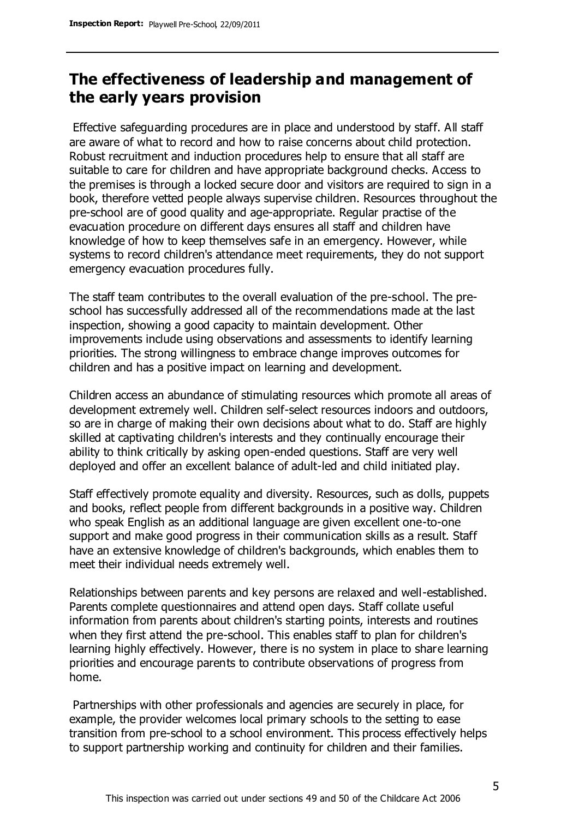# **The effectiveness of leadership and management of the early years provision**

Effective safeguarding procedures are in place and understood by staff. All staff are aware of what to record and how to raise concerns about child protection. Robust recruitment and induction procedures help to ensure that all staff are suitable to care for children and have appropriate background checks. Access to the premises is through a locked secure door and visitors are required to sign in a book, therefore vetted people always supervise children. Resources throughout the pre-school are of good quality and age-appropriate. Regular practise of the evacuation procedure on different days ensures all staff and children have knowledge of how to keep themselves safe in an emergency. However, while systems to record children's attendance meet requirements, they do not support emergency evacuation procedures fully.

The staff team contributes to the overall evaluation of the pre-school. The preschool has successfully addressed all of the recommendations made at the last inspection, showing a good capacity to maintain development. Other improvements include using observations and assessments to identify learning priorities. The strong willingness to embrace change improves outcomes for children and has a positive impact on learning and development.

Children access an abundance of stimulating resources which promote all areas of development extremely well. Children self-select resources indoors and outdoors, so are in charge of making their own decisions about what to do. Staff are highly skilled at captivating children's interests and they continually encourage their ability to think critically by asking open-ended questions. Staff are very well deployed and offer an excellent balance of adult-led and child initiated play.

Staff effectively promote equality and diversity. Resources, such as dolls, puppets and books, reflect people from different backgrounds in a positive way. Children who speak English as an additional language are given excellent one-to-one support and make good progress in their communication skills as a result. Staff have an extensive knowledge of children's backgrounds, which enables them to meet their individual needs extremely well.

Relationships between parents and key persons are relaxed and well-established. Parents complete questionnaires and attend open days. Staff collate useful information from parents about children's starting points, interests and routines when they first attend the pre-school. This enables staff to plan for children's learning highly effectively. However, there is no system in place to share learning priorities and encourage parents to contribute observations of progress from home.

Partnerships with other professionals and agencies are securely in place, for example, the provider welcomes local primary schools to the setting to ease transition from pre-school to a school environment. This process effectively helps to support partnership working and continuity for children and their families.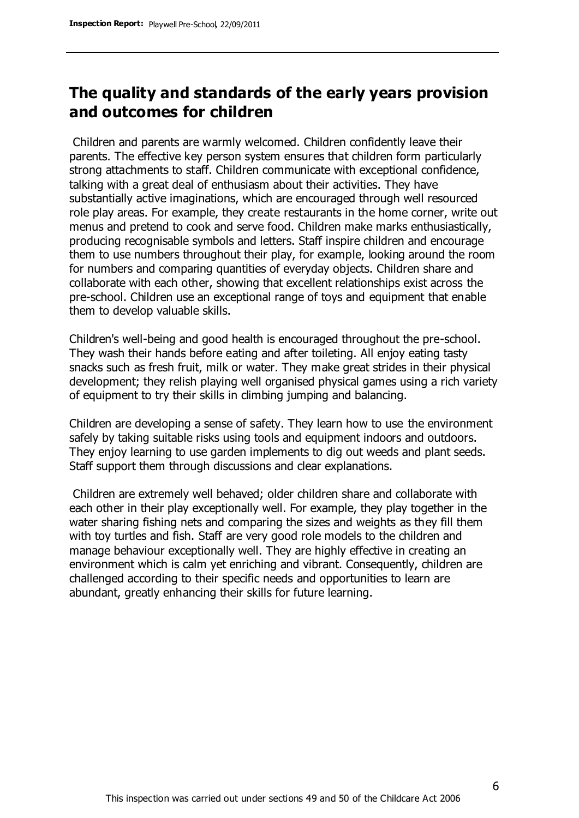## **The quality and standards of the early years provision and outcomes for children**

Children and parents are warmly welcomed. Children confidently leave their parents. The effective key person system ensures that children form particularly strong attachments to staff. Children communicate with exceptional confidence, talking with a great deal of enthusiasm about their activities. They have substantially active imaginations, which are encouraged through well resourced role play areas. For example, they create restaurants in the home corner, write out menus and pretend to cook and serve food. Children make marks enthusiastically, producing recognisable symbols and letters. Staff inspire children and encourage them to use numbers throughout their play, for example, looking around the room for numbers and comparing quantities of everyday objects. Children share and collaborate with each other, showing that excellent relationships exist across the pre-school. Children use an exceptional range of toys and equipment that enable them to develop valuable skills.

Children's well-being and good health is encouraged throughout the pre-school. They wash their hands before eating and after toileting. All enjoy eating tasty snacks such as fresh fruit, milk or water. They make great strides in their physical development; they relish playing well organised physical games using a rich variety of equipment to try their skills in climbing jumping and balancing.

Children are developing a sense of safety. They learn how to use the environment safely by taking suitable risks using tools and equipment indoors and outdoors. They enjoy learning to use garden implements to dig out weeds and plant seeds. Staff support them through discussions and clear explanations.

Children are extremely well behaved; older children share and collaborate with each other in their play exceptionally well. For example, they play together in the water sharing fishing nets and comparing the sizes and weights as they fill them with toy turtles and fish. Staff are very good role models to the children and manage behaviour exceptionally well. They are highly effective in creating an environment which is calm yet enriching and vibrant. Consequently, children are challenged according to their specific needs and opportunities to learn are abundant, greatly enhancing their skills for future learning.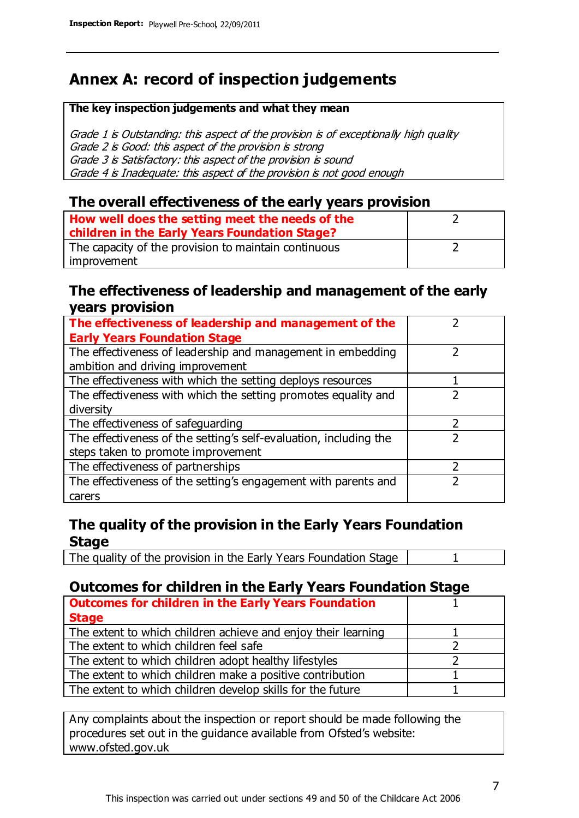# **Annex A: record of inspection judgements**

#### **The key inspection judgements and what they mean**

Grade 1 is Outstanding: this aspect of the provision is of exceptionally high quality Grade 2 is Good: this aspect of the provision is strong Grade 3 is Satisfactory: this aspect of the provision is sound Grade 4 is Inadequate: this aspect of the provision is not good enough

### **The overall effectiveness of the early years provision**

| How well does the setting meet the needs of the<br>children in the Early Years Foundation Stage? |  |
|--------------------------------------------------------------------------------------------------|--|
| The capacity of the provision to maintain continuous                                             |  |
| improvement                                                                                      |  |

#### **The effectiveness of leadership and management of the early years provision**

| The effectiveness of leadership and management of the             |  |
|-------------------------------------------------------------------|--|
| <b>Early Years Foundation Stage</b>                               |  |
| The effectiveness of leadership and management in embedding       |  |
| ambition and driving improvement                                  |  |
| The effectiveness with which the setting deploys resources        |  |
| The effectiveness with which the setting promotes equality and    |  |
| diversity                                                         |  |
| The effectiveness of safeguarding                                 |  |
| The effectiveness of the setting's self-evaluation, including the |  |
| steps taken to promote improvement                                |  |
| The effectiveness of partnerships                                 |  |
| The effectiveness of the setting's engagement with parents and    |  |
| carers                                                            |  |

### **The quality of the provision in the Early Years Foundation Stage**

The quality of the provision in the Early Years Foundation Stage | 1

### **Outcomes for children in the Early Years Foundation Stage**

| <b>Outcomes for children in the Early Years Foundation</b>    |  |
|---------------------------------------------------------------|--|
| <b>Stage</b>                                                  |  |
| The extent to which children achieve and enjoy their learning |  |
| The extent to which children feel safe                        |  |
| The extent to which children adopt healthy lifestyles         |  |
| The extent to which children make a positive contribution     |  |
| The extent to which children develop skills for the future    |  |

Any complaints about the inspection or report should be made following the procedures set out in the guidance available from Ofsted's website: www.ofsted.gov.uk